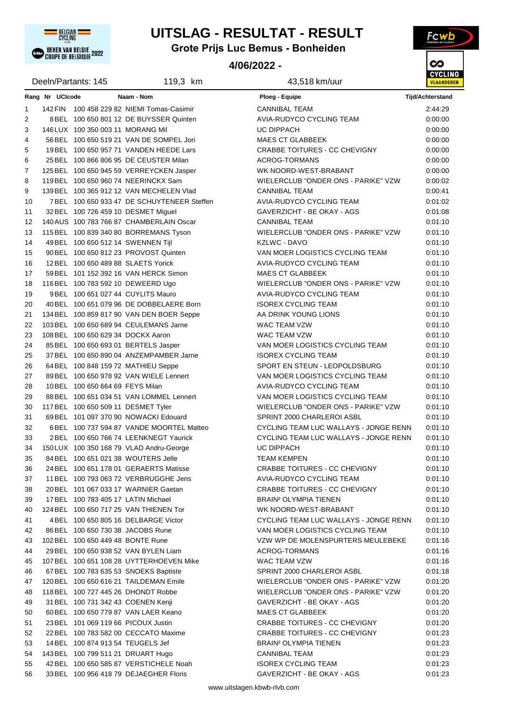

# **UITSLAG - RESULTAT - RESULT**

**Grote Prijs Luc Bemus - Bonheiden**

### **4/06/2022 -**



|                   |                 | Deeln/Partants: 145                 | 119,3 km                                                                      | 43,518 km/uur                                                            | ,,,,,,<br><b>VLAANDER</b> |
|-------------------|-----------------|-------------------------------------|-------------------------------------------------------------------------------|--------------------------------------------------------------------------|---------------------------|
|                   | Rang Nr UCIcode |                                     | Naam - Nom                                                                    | Ploeg - Equipe                                                           | <b>Tijd/Achterstand</b>   |
| 1                 |                 |                                     | 142 FIN 100 458 229 82 NIEMI Tomas-Casimir                                    | <b>CANNIBAL TEAM</b>                                                     | 2:44:29                   |
| 2                 |                 |                                     | 8 BEL 100 650 801 12 DE BUYSSER Quinten                                       | AVIA-RUDYCO CYCLING TEAM                                                 | 0:00:00                   |
| 3                 |                 | 146 LUX 100 350 003 11 MORANG Mil   |                                                                               | UC DIPPACH                                                               | 0:00:00                   |
| 4                 |                 |                                     | 56 BEL 100 650 519 21 VAN DE SOMPEL Jori                                      | <b>MAES CT GLABBEEK</b>                                                  | 0:00:00                   |
| 5                 |                 |                                     | 19 BEL 100 650 957 71 VANDEN HEEDE Lars                                       | CRABBE TOITURES - CC CHEVIGNY                                            | 0:00:00                   |
| 6                 |                 |                                     | 25 BEL 100 866 806 95 DE CEUSTER Milan                                        | <b>ACROG-TORMANS</b>                                                     | 0:00:00                   |
| $\overline{7}$    |                 |                                     | 125 BEL 100 650 945 59 VERREYCKEN Jasper                                      | WK NOORD-WEST-BRABANT                                                    | 0:00:00                   |
| 8                 |                 |                                     | 119 BEL 100 650 960 74 NEERINCKX Sam                                          | WIELERCLUB "ONDER ONS - PARIKE" VZW                                      | 0:00:02                   |
| 9                 |                 |                                     | 139 BEL 100 365 912 12 VAN MECHELEN Vlad                                      | <b>CANNIBAL TEAM</b>                                                     | 0:00:41                   |
| 10                |                 |                                     | 7 BEL 100 650 933 47 DE SCHUYTENEER Steffen                                   | AVIA-RUDYCO CYCLING TEAM                                                 | 0:01:02                   |
| 11                |                 |                                     | 32 BEL 100 726 459 10 DESMET Miguel                                           | GAVERZICHT - BE OKAY - AGS                                               | 0.01:08                   |
| $12 \overline{ }$ |                 |                                     | 140 AUS 100 783 766 87 CHAMBERLAIN Oscar                                      | <b>CANNIBAL TEAM</b>                                                     | 0.01:10                   |
| 13                |                 |                                     | 115 BEL 100 839 340 80 BORREMANS Tyson                                        | WIELERCLUB "ONDER ONS - PARIKE" VZW                                      | 0.01:10                   |
| 14                |                 | 49 BEL 100 650 512 14 SWENNEN Tijl  |                                                                               | <b>KZLWC - DAVO</b>                                                      | 0:01:10                   |
| 15                |                 |                                     | 90 BEL 100 650 812 23 PROVOST Quinten                                         | VAN MOER LOGISTICS CYCLING TEAM                                          | 0.01:10                   |
| 16                |                 | 12 BEL 100 650 489 88 SLAETS Yorick |                                                                               | AVIA-RUDYCO CYCLING TEAM                                                 | 0.01:10                   |
| 17                |                 |                                     | 59 BEL 101 152 392 16 VAN HERCK Simon                                         | <b>MAES CT GLABBEEK</b>                                                  | 0.01:10                   |
| 18                |                 |                                     | 116 BEL 100 783 592 10 DEWEERD Ugo                                            | WIELERCLUB "ONDER ONS - PARIKE" VZW                                      | 0:01:10                   |
| 19                |                 |                                     | 9 BEL 100 651 027 44 CUYLITS Mauro                                            | AVIA-RUDYCO CYCLING TEAM                                                 | 0:01:10                   |
| 20                |                 |                                     | 40 BEL 100 651 079 96 DE DOBBELAERE Born                                      | <b>ISOREX CYCLING TEAM</b>                                               | 0.01:10                   |
| 21                |                 |                                     | 134 BEL 100 859 817 90 VAN DEN BOER Seppe                                     | AA DRINK YOUNG LIONS                                                     | 0.01:10                   |
| 22                |                 |                                     | 103 BEL 100 650 689 94 CEULEMANS Jarne                                        | WAC TEAM VZW                                                             | 0:01:10                   |
| 23                |                 | 108 BEL 100 650 629 34 DOCKX Aaron  |                                                                               | WAC TEAM VZW                                                             | 0:01:10                   |
| 24                |                 |                                     | 85 BEL 100 650 693 01 BERTELS Jasper                                          | VAN MOER LOGISTICS CYCLING TEAM                                          | 0:01:10                   |
| 25                |                 |                                     | 37 BEL 100 650 890 04 ANZEMPAMBER Jarne                                       | <b>ISOREX CYCLING TEAM</b>                                               | 0:01:10                   |
| 26                |                 |                                     | 64 BEL 100 848 159 72 MATHIEU Seppe                                           | SPORT EN STEUN - LEOPOLDSBURG                                            | 0:01:10                   |
| 27                |                 |                                     | 89 BEL 100 650 978 92 VAN WIELE Lennert                                       | VAN MOER LOGISTICS CYCLING TEAM                                          | 0.01:10                   |
| 28                |                 | 10 BEL 100 650 664 69 FEYS Milan    |                                                                               | AVIA-RUDYCO CYCLING TEAM                                                 | 0.01:10                   |
| 29                |                 |                                     | 88 BEL 100 651 034 51 VAN LOMMEL Lennert                                      | VAN MOER LOGISTICS CYCLING TEAM                                          | 0.01:10                   |
| 30                |                 | 117 BEL 100 650 509 11 DESMET Tyler |                                                                               | WIELERCLUB "ONDER ONS - PARIKE" VZW                                      | 0:01:10                   |
| 31                |                 |                                     | 69 BEL 101 097 370 90 NOWACKI Edouard                                         | SPRINT 2000 CHARLEROI ASBL                                               | 0.01:10                   |
| 32                |                 |                                     | 6BEL 100 737 594 87 VANDE MOORTEL Matteo                                      | CYCLING TEAM LUC WALLAYS - JONGE RENN                                    | 0.01:10                   |
| 33                |                 |                                     | 2 BEL 100 650 766 74 LEENKNEGT Yaurick                                        | CYCLING TEAM LUC WALLAYS - JONGE RENN                                    | 0:01:10                   |
| 34                |                 |                                     |                                                                               | <b>UC DIPPACH</b>                                                        | 0:01:10                   |
| 35                |                 |                                     | 150 LUX 100 350 168 79 VLAD Andru-George                                      |                                                                          |                           |
|                   |                 |                                     | 84 BEL 100 651 021 38 WOUTERS Jelle<br>24 BEL 100 651 178 01 GERAERTS Matisse | <b>TEAM KEMPEN</b><br><b>CRABBE TOITURES - CC CHEVIGNY</b>               | 0:01:10<br>0:01:10        |
| 36                |                 |                                     | 11 BEL 100 793 063 72 VERBRUGGHE Jens                                         | AVIA-RUDYCO CYCLING TEAM                                                 | 0.01:10                   |
| 37                |                 |                                     |                                                                               |                                                                          | 0:01:10                   |
| 38                |                 | 17 BEL 100 783 405 17 LATIN Michael | 20 BEL 101 067 033 17 WARNIER Gaetan                                          | CRABBE TOITURES - CC CHEVIGNY<br><b>BRAIN<sup>2</sup> OLYMPIA TIENEN</b> | 0:01:10                   |
| 39                |                 |                                     |                                                                               |                                                                          |                           |
| 40                |                 |                                     | 124 BEL 100 650 717 25 VAN THIENEN Tor                                        | WK NOORD-WEST-BRABANT                                                    | 0.01:10                   |
| 41                |                 |                                     | 4 BEL 100 650 805 16 DELBARGE Victor                                          | CYCLING TEAM LUC WALLAYS - JONGE RENN<br>VAN MOER LOGISTICS CYCLING TEAM | 0:01:10                   |
| 42                |                 | 86 BEL 100 650 730 38 JACOBS Rune   |                                                                               |                                                                          | 0.01.10                   |
| 43                |                 | 102 BEL 100 650 449 48 BONTE Rune   |                                                                               | VZW WP DE MOLENSPURTERS MEULEBEKE                                        | 0.01.16                   |
| 44                |                 |                                     | 29 BEL 100 650 938 52 VAN BYLEN Liam                                          | <b>ACROG-TORMANS</b>                                                     | 0.01.16                   |
| 45                |                 |                                     | 107 BEL 100 651 108 28 UYTTERHOEVEN Mike                                      | WAC TEAM VZW                                                             | 0:01:16                   |
| 46                |                 |                                     | 67 BEL 100 783 635 53 SNOEKS Baptiste                                         | SPRINT 2000 CHARLEROI ASBL                                               | 0.01.18                   |
| 47                |                 |                                     | 120 BEL 100 650 616 21 TAILDEMAN Emile                                        | WIELERCLUB "ONDER ONS - PARIKE" VZW                                      | 0.01:20                   |
| 48                |                 |                                     | 118 BEL 100 727 445 26 DHONDT Robbe                                           | WIELERCLUB "ONDER ONS - PARIKE" VZW                                      | 0.01:20                   |
| 49                |                 | 31 BEL 100 731 342 43 COENEN Kenji  |                                                                               | GAVERZICHT - BE OKAY - AGS                                               | 0.01:20                   |
| 50                |                 |                                     | 60 BEL 100 650 779 87 VAN LAER Keano                                          | <b>MAES CT GLABBEEK</b>                                                  | 0.01.20                   |
| 51                |                 | 23 BEL 101 069 119 66 PICOUX Justin |                                                                               | CRABBE TOITURES - CC CHEVIGNY                                            | 0.01:20                   |
| 52                |                 |                                     | 22 BEL 100 783 582 00 CECCATO Maxime                                          | CRABBE TOITURES - CC CHEVIGNY                                            | 0.01.23                   |
| 53                |                 | 14 BEL 100 874 913 54 TEUGELS Jef   |                                                                               | <b>BRAIN<sup>2</sup> OLYMPIA TIENEN</b>                                  | 0.01.23                   |
| 54                |                 | 143 BEL 100 799 511 21 DRUART Hugo  |                                                                               | <b>CANNIBAL TEAM</b>                                                     | 0:01:23                   |
| 55                |                 |                                     | 42 BEL 100 650 585 87 VERSTICHELE Noah                                        | <b>ISOREX CYCLING TEAM</b>                                               | 0:01:23                   |
| 56                |                 |                                     | 33 BEL 100 956 418 79 DEJAEGHER Floris                                        | GAVERZICHT - BE OKAY - AGS                                               | 0.01.23                   |

| Ploeg - Equipe                          | Tijd/Achterstand |
|-----------------------------------------|------------------|
| <b>CANNIBAL TEAM</b>                    | 2:44:29          |
| AVIA-RUDYCO CYCLING TEAM                | 0:00:00          |
| <b>UC DIPPACH</b>                       | 0:00:00          |
| <b>MAES CT GLABBEEK</b>                 | 0:00:00          |
| CRABBE TOITURES - CC CHEVIGNY           | 0:00:00          |
| <b>ACROG-TORMANS</b>                    | 0:00:00          |
| WK NOORD-WEST-BRABANT                   | 0:00:00          |
| WIELERCLUB "ONDER ONS - PARIKE" VZW     | 0:00:02          |
| <b>CANNIBAL TEAM</b>                    | 0:00:41          |
| AVIA-RUDYCO CYCLING TEAM                | 0:01:02          |
| GAVERZICHT - BE OKAY - AGS              | 0.01:08          |
| <b>CANNIBAL TEAM</b>                    | 0:01:10          |
| WIELERCLUB "ONDER ONS - PARIKE" VZW     | 0:01:10          |
| <b>KZLWC - DAVO</b>                     | 0:01:10          |
| VAN MOER LOGISTICS CYCLING TEAM         | 0:01:10          |
| AVIA-RUDYCO CYCLING TEAM                | 0:01:10          |
| <b>MAES CT GLABBEEK</b>                 | 0:01:10          |
| WIELERCLUB "ONDER ONS - PARIKE" VZW     | 0:01:10          |
| AVIA-RUDYCO CYCLING TEAM                | 0:01:10          |
| <b>ISOREX CYCLING TEAM</b>              | 0:01:10          |
| AA DRINK YOUNG LIONS                    | 0:01:10          |
| WAC TEAM VZW                            | 0:01:10          |
| WAC TEAM VZW                            | 0:01:10          |
| VAN MOER LOGISTICS CYCLING TEAM         | 0:01:10          |
| <b>ISOREX CYCLING TEAM</b>              | 0:01:10          |
| SPORT EN STEUN - LEOPOLDSBURG           | 0:01:10          |
| VAN MOER LOGISTICS CYCLING TEAM         | 0:01:10          |
| AVIA-RUDYCO CYCLING TEAM                | 0:01:10          |
| VAN MOER LOGISTICS CYCLING TEAM         | 0:01:10          |
| WIELERCLUB "ONDER ONS - PARIKE" VZW     | 0:01:10          |
| SPRINT 2000 CHARLEROI ASBL              | 0:01:10          |
| CYCLING TEAM LUC WALLAYS - JONGE RENN   | 0:01:10          |
| CYCLING TEAM LUC WALLAYS - JONGE RENN   | 0:01:10          |
| <b>UC DIPPACH</b>                       | 0.01:10          |
| <b>TEAM KEMPEN</b>                      | 0:01:10          |
| CRABBE TOITURES - CC CHEVIGNY           | 0:01:10          |
| <b>AVIA-RUDYCO CYCLING TEAM</b>         | 0:01:10          |
| <b>CRABBE TOITURES - CC CHEVIGNY</b>    | 0:01:10          |
| <b>BRAIN<sup>2</sup> OLYMPIA TIENEN</b> | 0:01:10          |
| WK NOORD-WEST-BRABANT                   | 0:01:10          |
| CYCLING TEAM LUC WALLAYS - JONGE RENN   | 0:01:10          |
| VAN MOER LOGISTICS CYCLING TEAM         | 0:01:10          |
| VZW WP DE MOLENSPURTERS MEULEBEKE       | 0:01:16          |
| <b>ACROG-TORMANS</b>                    | 0.01:16          |
| WAC TEAM VZW                            | 0.01:16          |
| SPRINT 2000 CHARLEROI ASBL              | 0:01:18          |
| WIELERCLUB "ONDER ONS - PARIKE" VZW     | 0:01:20          |
| WIELERCLUB "ONDER ONS - PARIKE" VZW     | 0:01:20          |
| GAVERZICHT - BE OKAY - AGS              | 0:01:20          |
| <b>MAES CT GLABBEEK</b>                 | 0:01:20          |
| CRABBE TOITURES - CC CHEVIGNY           | 0:01:20          |
| CRABBE TOITURES - CC CHEVIGNY           | 0:01:23          |
| <b>BRAIN<sup>2</sup> OLYMPIA TIENEN</b> | 0:01:23          |
| <b>CANNIBAL TEAM</b>                    | 0:01:23          |
| <b>ISOREX CYCLING TEAM</b>              | 0:01:23          |
| GAVERZICHT - BE OKAY - AGS              | 0:01:23          |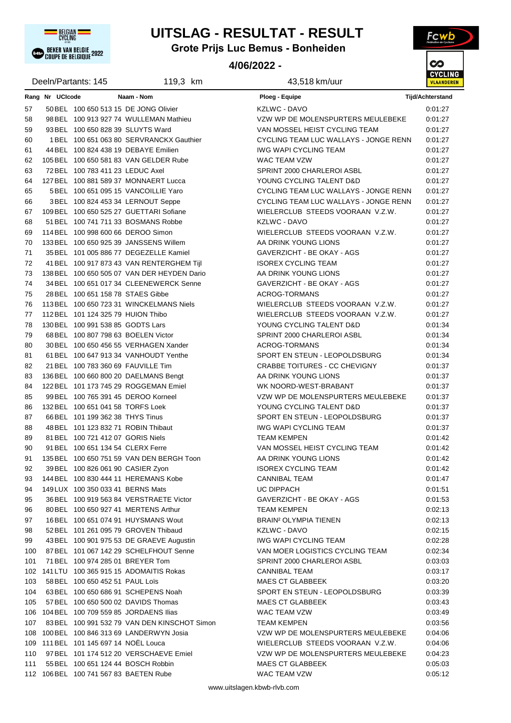

## **UITSLAG - RESULTAT - RESULT**

**Grote Prijs Luc Bemus - Bonheiden**

### **4/06/2022 -**



|     |                 | Deeln/Partants: 145                    | 119,3 km                                                                     | 43,518 km/uur                           | <b>VLAANDER</b>  |
|-----|-----------------|----------------------------------------|------------------------------------------------------------------------------|-----------------------------------------|------------------|
|     | Rang Nr UCIcode |                                        | Naam - Nom                                                                   | Ploeg - Equipe                          | Tijd/Achterstand |
| 57  |                 |                                        | 50 BEL 100 650 513 15 DE JONG Olivier                                        | KZLWC - DAVO                            | 0:01:27          |
| 58  |                 |                                        | 98 BEL 100 913 927 74 WULLEMAN Mathieu                                       | VZW WP DE MOLENSPURTERS MEULEBEKE       | 0.01:27          |
| 59  |                 | 93 BEL 100 650 828 39 SLUYTS Ward      |                                                                              | VAN MOSSEL HEIST CYCLING TEAM           | 0:01:27          |
| 60  |                 |                                        | 1 BEL 100 651 063 80 SERVRANCKX Gauthier                                     | CYCLING TEAM LUC WALLAYS - JONGE RENN   | 0:01:27          |
| 61  |                 |                                        | 44 BEL 100 824 438 19 DEBAYE Emilien                                         | <b>IWG WAPI CYCLING TEAM</b>            | 0:01:27          |
| 62  |                 |                                        | 105 BEL 100 650 581 83 VAN GELDER Rube                                       | WAC TEAM VZW                            | 0.01.27          |
| 63  |                 | 72 BEL 100 783 411 23 LEDUC Axel       |                                                                              | SPRINT 2000 CHARLEROI ASBL              | 0.01:27          |
| 64  |                 |                                        | 127 BEL 100 881 589 37 MONNAERT Lucca                                        | YOUNG CYCLING TALENT D&D                | 0:01:27          |
| 65  |                 |                                        | 5 BEL 100 651 095 15 VANCOILLIE Yaro                                         | CYCLING TEAM LUC WALLAYS - JONGE RENN   | 0.01:27          |
| 66  |                 |                                        |                                                                              | CYCLING TEAM LUC WALLAYS - JONGE RENN   | 0.01.27          |
| 67  |                 |                                        | 3BEL 100 824 453 34 LERNOUT Seppe<br>109 BEL 100 650 525 27 GUETTARI Sofiane | WIELERCLUB STEEDS VOORAAN V.Z.W.        | 0:01:27          |
|     |                 |                                        | 51 BEL 100 741 711 33 BOSMANS Robbe                                          | KZLWC - DAVO                            | 0:01:27          |
| 68  |                 |                                        |                                                                              |                                         |                  |
| 69  |                 | 114 BEL 100 998 600 66 DEROO Simon     |                                                                              | WIELERCLUB STEEDS VOORAAN V.Z.W.        | 0:01:27          |
| 70  |                 |                                        | 133 BEL 100 650 925 39 JANSSENS Willem                                       | AA DRINK YOUNG LIONS                    | 0:01:27          |
| 71  |                 |                                        | 35 BEL 101 005 886 77 DEGEZELLE Kamiel                                       | GAVERZICHT - BE OKAY - AGS              | 0:01:27          |
| 72  |                 |                                        | 41 BEL 100 917 873 43 VAN RENTERGHEM Tijl                                    | <b>ISOREX CYCLING TEAM</b>              | 0:01:27          |
| 73  |                 |                                        | 138 BEL 100 650 505 07 VAN DER HEYDEN Dario                                  | AA DRINK YOUNG LIONS                    | 0:01:27          |
| 74  |                 |                                        | 34 BEL 100 651 017 34 CLEENEWERCK Senne                                      | GAVERZICHT - BE OKAY - AGS              | 0:01:27          |
| 75  |                 | 28 BEL 100 651 158 78 STAES Gibbe      |                                                                              | <b>ACROG-TORMANS</b>                    | 0:01:27          |
| 76  |                 |                                        | 113 BEL 100 650 723 31 WINCKELMANS Niels                                     | WIELERCLUB STEEDS VOORAAN V.Z.W.        | 0:01:27          |
| 77  |                 | 112 BEL 101 124 325 79 HUION Thibo     |                                                                              | WIELERCLUB STEEDS VOORAAN V.Z.W.        | 0:01:27          |
| 78  |                 | 130 BEL 100 991 538 85 GODTS Lars      |                                                                              | YOUNG CYCLING TALENT D&D                | 0:01:34          |
| 79  |                 |                                        | 68 BEL 100 807 798 63 BOELEN Victor                                          | SPRINT 2000 CHARLEROI ASBL              | 0:01:34          |
| 80  |                 |                                        | 30 BEL 100 650 456 55 VERHAGEN Xander                                        | ACROG-TORMANS                           | 0:01:34          |
| 81  |                 |                                        | 61 BEL 100 647 913 34 VANHOUDT Yenthe                                        | SPORT EN STEUN - LEOPOLDSBURG           | 0:01:34          |
| 82  |                 | 21 BEL 100 783 360 69 FAUVILLE Tim     |                                                                              | CRABBE TOITURES - CC CHEVIGNY           | 0:01:37          |
| 83  |                 |                                        | 136 BEL 100 660 800 20 DAELMANS Bengt                                        | AA DRINK YOUNG LIONS                    | 0:01:37          |
| 84  |                 |                                        | 122 BEL 101 173 745 29 ROGGEMAN Emiel                                        | WK NOORD-WEST-BRABANT                   | 0:01:37          |
| 85  |                 |                                        | 99 BEL 100 765 391 45 DEROO Korneel                                          | VZW WP DE MOLENSPURTERS MEULEBEKE       | 0:01:37          |
| 86  |                 | 132 BEL 100 651 041 58 TORFS Loek      |                                                                              | YOUNG CYCLING TALENT D&D                | 0:01:37          |
| 87  |                 | 66 BEL 101 199 362 38 THYS Tinus       |                                                                              | SPORT EN STEUN - LEOPOLDSBURG           | 0:01:37          |
| 88  |                 | 48 BEL 101 123 832 71 ROBIN Thibaut    |                                                                              | IWG WAPI CYCLING TEAM                   | 0:01:37          |
| 89  |                 | 81 BEL 100 721 412 07 GORIS Niels      |                                                                              | <b>TEAM KEMPEN</b>                      | 0.01:42          |
| 90  |                 | 91 BEL 100 651 134 54 CLERX Ferre      |                                                                              | VAN MOSSEL HEIST CYCLING TEAM           | 0:01:42          |
| 91  |                 |                                        | 135 BEL 100 650 751 59 VAN DEN BERGH Toon                                    | AA DRINK YOUNG LIONS                    | 0:01:42          |
| 92  |                 | 39 BEL 100 826 061 90 CASIER Zyon      |                                                                              | <b>ISOREX CYCLING TEAM</b>              | 0:01:42          |
| 93  |                 |                                        | 144 BEL 100 830 444 11 HEREMANS Kobe                                         | <b>CANNIBAL TEAM</b>                    | 0:01:47          |
| 94  |                 | 149 LUX 100 350 033 41 BERNS Mats      |                                                                              | UC DIPPACH                              | 0.01.51          |
| 95  |                 |                                        | 36 BEL 100 919 563 84 VERSTRAETE Victor                                      | GAVERZICHT - BE OKAY - AGS              | 0:01:53          |
| 96  |                 |                                        | 80 BEL 100 650 927 41 MERTENS Arthur                                         | <b>TEAM KEMPEN</b>                      | 0:02:13          |
| 97  |                 |                                        | 16 BEL 100 651 074 91 HUYSMANS Wout                                          | <b>BRAIN<sup>2</sup> OLYMPIA TIENEN</b> | 0:02:13          |
| 98  |                 |                                        | 52 BEL 101 261 095 79 GROVEN Thibaud                                         | <b>KZLWC - DAVO</b>                     | 0:02:15          |
| 99  |                 |                                        | 43 BEL 100 901 975 53 DE GRAEVE Augustin                                     | <b>IWG WAPI CYCLING TEAM</b>            | 0:02:28          |
| 100 |                 |                                        | 87 BEL 101 067 142 29 SCHELFHOUT Senne                                       | VAN MOER LOGISTICS CYCLING TEAM         | 0.02.34          |
| 101 |                 | 71 BEL 100 974 285 01 BREYER Tom       |                                                                              | SPRINT 2000 CHARLEROI ASBL              | 0.03.03          |
|     |                 |                                        | 102 141 LTU 100 365 915 15 ADOMAITIS Rokas                                   | <b>CANNIBAL TEAM</b>                    | 0:03:17          |
| 103 |                 | 58 BEL 100 650 452 51 PAUL Loïs        |                                                                              | <b>MAES CT GLABBEEK</b>                 | 0:03:20          |
|     |                 |                                        | 63 BEL 100 650 686 91 SCHEPENS Noah                                          | SPORT EN STEUN - LEOPOLDSBURG           | 0.03.39          |
| 104 |                 |                                        | 57 BEL 100 650 500 02 DAVIDS Thomas                                          | <b>MAES CT GLABBEEK</b>                 | 0:03:43          |
| 105 |                 |                                        |                                                                              |                                         |                  |
|     |                 |                                        | 106 104 BEL 100 709 559 85 JORDAENS Ilias                                    | WAC TEAM VZW                            | 0.03.49          |
| 107 |                 |                                        | 83 BEL 100 991 532 79 VAN DEN KINSCHOT Simon                                 | <b>TEAM KEMPEN</b>                      | 0:03:56          |
|     |                 |                                        | 108 100 BEL 100 846 313 69 LANDERWYN Josia                                   | VZW WP DE MOLENSPURTERS MEULEBEKE       | 0:04:06          |
|     |                 | 109 111 BEL 101 145 697 14 NOËL Louca  |                                                                              | WIELERCLUB STEEDS VOORAAN V.Z.W.        | 0:04:06          |
| 110 |                 |                                        | 97 BEL 101 174 512 20 VERSCHAEVE Emiel                                       | VZW WP DE MOLENSPURTERS MEULEBEKE       | 0:04:23          |
| 111 |                 |                                        | 55 BEL 100 651 124 44 BOSCH Robbin                                           | <b>MAES CT GLABBEEK</b>                 | 0:05:03          |
|     |                 | 112 106 BEL 100 741 567 83 BAETEN Rube |                                                                              | WAC TEAM VZW                            | 0.05:12          |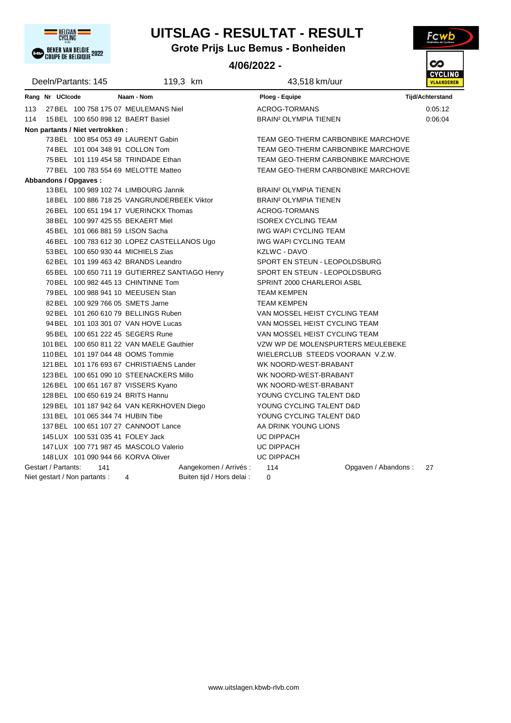

# **UITSLAG - RESULTAT - RESULT**

**Grote Prijs Luc Bemus - Bonheiden**

## **4/06/2022 -**



|     |                     | Deeln/Partants: 145                 |                                                | 119,3 km                   | 43,518 km/uur                           |                     | <b>VLAANDER</b>         |
|-----|---------------------|-------------------------------------|------------------------------------------------|----------------------------|-----------------------------------------|---------------------|-------------------------|
|     | Rang Nr UCIcode     |                                     | Naam - Nom                                     |                            | <b>Ploeg - Equipe</b>                   |                     | <b>Tijd/Achterstand</b> |
| 113 |                     |                                     | 27 BEL 100 758 175 07 MEULEMANS Niel           |                            | <b>ACROG-TORMANS</b>                    |                     | 0:05:12                 |
| 114 |                     | 15 BEL 100 650 898 12 BAERT Basiel  |                                                |                            | <b>BRAIN<sup>2</sup> OLYMPIA TIENEN</b> |                     | 0:06:04                 |
|     |                     | Non partants / Niet vertrokken:     |                                                |                            |                                         |                     |                         |
|     |                     |                                     | 73 BEL 100 854 053 49 LAURENT Gabin            |                            | TEAM GEO-THERM CARBONBIKE MARCHOVE      |                     |                         |
|     |                     | 74 BEL 101 004 348 91 COLLON Tom    |                                                |                            | TEAM GEO-THERM CARBONBIKE MARCHOVE      |                     |                         |
|     |                     |                                     | 75 BEL 101 119 454 58 TRINDADE Ethan           |                            | TEAM GEO-THERM CARBONBIKE MARCHOVE      |                     |                         |
|     |                     |                                     | 77 BEL 100 783 554 69 MELOTTE Matteo           |                            | TEAM GEO-THERM CARBONBIKE MARCHOVE      |                     |                         |
|     |                     | Abbandons / Opgaves:                |                                                |                            |                                         |                     |                         |
|     |                     |                                     | 13 BEL 100 989 102 74 LIMBOURG Jannik          |                            | <b>BRAIN<sup>2</sup> OLYMPIA TIENEN</b> |                     |                         |
|     |                     |                                     | 18 BEL 100 886 718 25 VANGRUNDERBEEK Viktor    |                            | <b>BRAIN<sup>2</sup> OLYMPIA TIENEN</b> |                     |                         |
|     |                     |                                     | 26 BEL 100 651 194 17 VUERINCKX Thomas         |                            | <b>ACROG-TORMANS</b>                    |                     |                         |
|     |                     |                                     | 38 BEL 100 997 425 55 BEKAERT Miel             |                            | <b>ISOREX CYCLING TEAM</b>              |                     |                         |
|     |                     | 45 BEL 101 066 881 59 LISON Sacha   |                                                |                            | <b>IWG WAPI CYCLING TEAM</b>            |                     |                         |
|     |                     |                                     | 46 BEL 100 783 612 30 LOPEZ CASTELLANOS Ugo    |                            | <b>IWG WAPI CYCLING TEAM</b>            |                     |                         |
|     |                     |                                     | 53 BEL 100 650 930 44 MICHIELS Zias            |                            | <b>KZLWC - DAVO</b>                     |                     |                         |
|     |                     |                                     | 62 BEL 101 199 463 42 BRANDS Leandro           |                            | SPORT EN STEUN - LEOPOLDSBURG           |                     |                         |
|     |                     |                                     | 65 BEL 100 650 711 19 GUTIERREZ SANTIAGO Henry |                            | SPORT EN STEUN - LEOPOLDSBURG           |                     |                         |
|     |                     |                                     | 70 BEL 100 982 445 13 CHINTINNE Tom            |                            | SPRINT 2000 CHARLEROI ASBL              |                     |                         |
|     |                     |                                     | 79 BEL 100 988 941 10 MEEUSEN Stan             |                            | <b>TEAM KEMPEN</b>                      |                     |                         |
|     |                     | 82 BEL 100 929 766 05 SMETS Jarne   |                                                |                            | <b>TEAM KEMPEN</b>                      |                     |                         |
|     |                     |                                     | 92 BEL 101 260 610 79 BELLINGS Ruben           |                            | VAN MOSSEL HEIST CYCLING TEAM           |                     |                         |
|     |                     |                                     | 94 BEL 101 103 301 07 VAN HOVE Lucas           |                            | VAN MOSSEL HEIST CYCLING TEAM           |                     |                         |
|     |                     |                                     | 95 BEL 100 651 222 45 SEGERS Rune              |                            | VAN MOSSEL HEIST CYCLING TEAM           |                     |                         |
|     |                     |                                     | 101 BEL 100 650 811 22 VAN MAELE Gauthier      |                            | VZW WP DE MOLENSPURTERS MEULEBEKE       |                     |                         |
|     |                     |                                     | 110 BEL 101 197 044 48 OOMS Tommie             |                            | WIELERCLUB STEEDS VOORAAN V.Z.W.        |                     |                         |
|     |                     |                                     | 121 BEL 101 176 693 67 CHRISTIAENS Lander      |                            | WK NOORD-WEST-BRABANT                   |                     |                         |
|     |                     |                                     | 123 BEL 100 651 090 10 STEENACKERS Millo       |                            | WK NOORD-WEST-BRABANT                   |                     |                         |
|     |                     |                                     | 126 BEL 100 651 167 87 VISSERS Kyano           |                            | WK NOORD-WEST-BRABANT                   |                     |                         |
|     |                     | 128 BEL 100 650 619 24 BRITS Hannu  |                                                |                            | YOUNG CYCLING TALENT D&D                |                     |                         |
|     |                     |                                     | 129 BEL 101 187 942 64 VAN KERKHOVEN Diego     |                            | YOUNG CYCLING TALENT D&D                |                     |                         |
|     |                     | 131 BEL 101 065 344 74 HUBIN Tibe   |                                                |                            | YOUNG CYCLING TALENT D&D                |                     |                         |
|     |                     |                                     | 137 BEL 100 651 107 27 CANNOOT Lance           |                            | AA DRINK YOUNG LIONS                    |                     |                         |
|     |                     | 145 LUX 100 531 035 41 FOLEY Jack   |                                                |                            | UC DIPPACH                              |                     |                         |
|     |                     |                                     | 147 LUX 100 771 987 45 MASCOLO Valerio         |                            | UC DIPPACH                              |                     |                         |
|     |                     | 148 LUX 101 090 944 66 KORVA Oliver |                                                |                            | UC DIPPACH                              |                     |                         |
|     | Gestart / Partants: | 141                                 |                                                | Aangekomen / Arrivés :     | 114                                     | Opgaven / Abandons: | 27                      |
|     |                     | Niet gestart / Non partants :       | 4                                              | Buiten tijd / Hors delai : | 0                                       |                     |                         |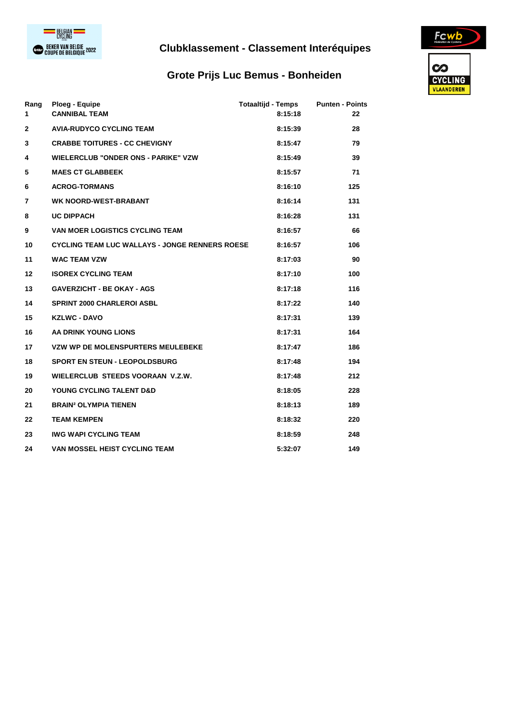

## **Clubklassement - Classement Interéquipes**

## **Grote Prijs Luc Bemus - Bonheiden**



| Rang<br>$\mathbf 1$ | Ploeg - Equipe<br><b>CANNIBAL TEAM</b>                | <b>Totaaltijd - Temps</b><br>8:15:18 | <b>Punten - Points</b><br>22 |
|---------------------|-------------------------------------------------------|--------------------------------------|------------------------------|
| $\mathbf{2}$        | <b>AVIA-RUDYCO CYCLING TEAM</b>                       | 8:15:39                              | 28                           |
| 3                   | <b>CRABBE TOITURES - CC CHEVIGNY</b>                  | 8:15:47                              | 79                           |
| 4                   | <b>WIELERCLUB "ONDER ONS - PARIKE" VZW</b>            | 8:15:49                              | 39                           |
| 5                   | <b>MAES CT GLABBEEK</b>                               | 8:15:57                              | 71                           |
| 6                   | <b>ACROG-TORMANS</b>                                  | 8:16:10                              | 125                          |
| 7                   | <b>WK NOORD-WEST-BRABANT</b>                          | 8:16:14                              | 131                          |
| 8                   | <b>UC DIPPACH</b>                                     | 8:16:28                              | 131                          |
| 9                   | <b>VAN MOER LOGISTICS CYCLING TEAM</b>                | 8:16:57                              | 66                           |
| 10                  | <b>CYCLING TEAM LUC WALLAYS - JONGE RENNERS ROESE</b> | 8:16:57                              | 106                          |
| 11                  | <b>WAC TEAM VZW</b>                                   | 8:17:03                              | 90                           |
| 12                  | <b>ISOREX CYCLING TEAM</b>                            | 8:17:10                              | 100                          |
| 13                  | <b>GAVERZICHT - BE OKAY - AGS</b>                     | 8:17:18                              | 116                          |
| 14                  | <b>SPRINT 2000 CHARLEROI ASBL</b>                     | 8:17:22                              | 140                          |
| 15                  | <b>KZLWC - DAVO</b>                                   | 8:17:31                              | 139                          |
| 16                  | AA DRINK YOUNG LIONS                                  | 8:17:31                              | 164                          |
| 17                  | <b>VZW WP DE MOLENSPURTERS MEULEBEKE</b>              | 8:17:47                              | 186                          |
| 18                  | <b>SPORT EN STEUN - LEOPOLDSBURG</b>                  | 8:17:48                              | 194                          |
| 19                  | WIELERCLUB STEEDS VOORAAN V.Z.W.                      | 8:17:48                              | 212                          |
| 20                  | YOUNG CYCLING TALENT D&D                              | 8:18:05                              | 228                          |
| 21                  | <b>BRAIN<sup>2</sup> OLYMPIA TIENEN</b>               | 8:18:13                              | 189                          |
| 22                  | <b>TEAM KEMPEN</b>                                    | 8:18:32                              | 220                          |
| 23                  | <b>IWG WAPI CYCLING TEAM</b>                          | 8:18:59                              | 248                          |
| 24                  | <b>VAN MOSSEL HEIST CYCLING TEAM</b>                  | 5:32:07                              | 149                          |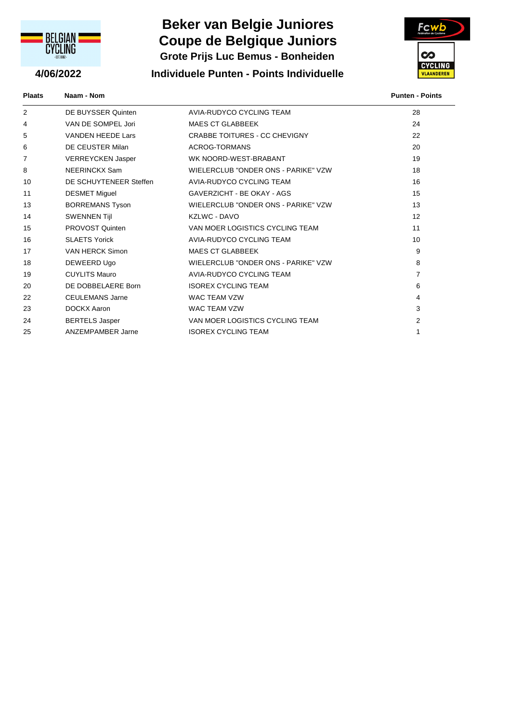

# **Coupe de Belgique Juniors Beker van Belgie Juniores Grote Prijs Luc Bemus - Bonheiden**

**4/06/2022 Individuele Punten - Points Individuelle**



**Plaats Naam - Nom Punten - Points**

| 2  | DE BUYSSER Quinten       | AVIA-RUDYCO CYCLING TEAM             | 28             |
|----|--------------------------|--------------------------------------|----------------|
| 4  | VAN DE SOMPEL Jori       | <b>MAES CT GLABBEEK</b>              | 24             |
| 5  | <b>VANDEN HEEDE Lars</b> | <b>CRABBE TOITURES - CC CHEVIGNY</b> | 22             |
| 6  | DE CEUSTER Milan         | ACROG-TORMANS                        | 20             |
| 7  | <b>VERREYCKEN Jasper</b> | WK NOORD-WEST-BRABANT                | 19             |
| 8  | NEERINCKX Sam            | WIELERCLUB "ONDER ONS - PARIKE" VZW  | 18             |
| 10 | DE SCHUYTENEER Steffen   | AVIA-RUDYCO CYCLING TEAM             | 16             |
| 11 | <b>DESMET Miguel</b>     | GAVERZICHT - BE OKAY - AGS           | 15             |
| 13 | <b>BORREMANS Tyson</b>   | WIELERCLUB "ONDER ONS - PARIKE" VZW  | 13             |
| 14 | <b>SWENNEN Tijl</b>      | KZLWC - DAVO                         | 12             |
| 15 | PROVOST Quinten          | VAN MOER LOGISTICS CYCLING TEAM      | 11             |
| 16 | <b>SLAETS Yorick</b>     | AVIA-RUDYCO CYCLING TEAM             | 10             |
| 17 | VAN HERCK Simon          | <b>MAES CT GLABBEEK</b>              | 9              |
| 18 | DEWEERD Ugo              | WIELERCLUB "ONDER ONS - PARIKE" VZW  | 8              |
| 19 | <b>CUYLITS Mauro</b>     | AVIA-RUDYCO CYCLING TEAM             | $\overline{7}$ |
| 20 | DE DOBBELAERE Born       | <b>ISOREX CYCLING TEAM</b>           | 6              |
| 22 | <b>CEULEMANS Jarne</b>   | <b>WAC TEAM VZW</b>                  | 4              |
| 23 | <b>DOCKX Aaron</b>       | <b>WAC TEAM VZW</b>                  | 3              |
| 24 | <b>BERTELS Jasper</b>    | VAN MOER LOGISTICS CYCLING TEAM      | $\mathcal{P}$  |
| 25 | <b>ANZEMPAMBER Jarne</b> | <b>ISOREX CYCLING TEAM</b>           | 1              |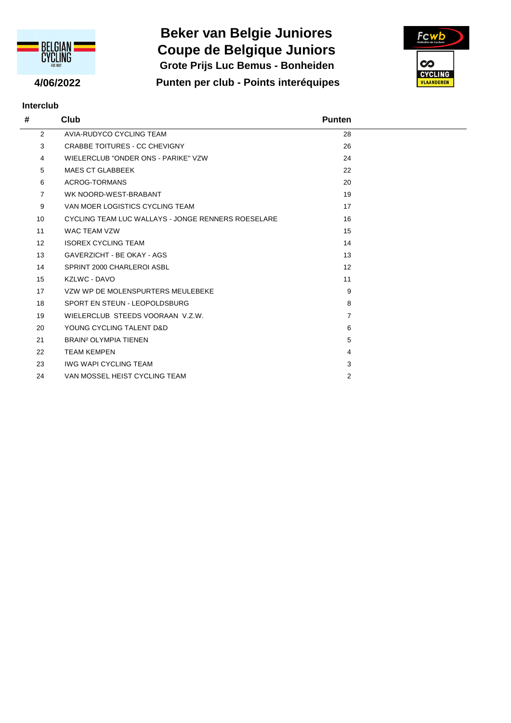

# **Beker van Belgie Juniores Grote Prijs Luc Bemus - Bonheiden Coupe de Belgique Juniors**

**4/06/2022 Punten per club - Points interéquipes**



| <b>Interclub</b> |                                                    |                |  |  |  |  |
|------------------|----------------------------------------------------|----------------|--|--|--|--|
| #                | Club                                               | <b>Punten</b>  |  |  |  |  |
| $\overline{2}$   | AVIA-RUDYCO CYCLING TEAM                           | 28             |  |  |  |  |
| 3                | CRABBE TOITURES - CC CHEVIGNY                      | 26             |  |  |  |  |
| 4                | WIELERCLUB "ONDER ONS - PARIKE" VZW                | 24             |  |  |  |  |
| 5                | <b>MAES CT GLABBEEK</b>                            | 22             |  |  |  |  |
| 6                | <b>ACROG-TORMANS</b>                               | 20             |  |  |  |  |
| $\overline{7}$   | WK NOORD-WEST-BRABANT                              | 19             |  |  |  |  |
| 9                | VAN MOER LOGISTICS CYCLING TEAM                    | 17             |  |  |  |  |
| 10               | CYCLING TEAM LUC WALLAYS - JONGE RENNERS ROESELARE | 16             |  |  |  |  |
| 11               | WAC TFAM VZW                                       | 15             |  |  |  |  |
| 12               | <b>ISOREX CYCLING TEAM</b>                         | 14             |  |  |  |  |
| 13               | GAVERZICHT - BE OKAY - AGS                         | 13             |  |  |  |  |
| 14               | SPRINT 2000 CHARLEROI ASBL                         | 12             |  |  |  |  |
| 15               | KZLWC - DAVO                                       | 11             |  |  |  |  |
| 17               | VZW WP DE MOLENSPURTERS MEULEBEKE                  | 9              |  |  |  |  |
| 18               | SPORT EN STEUN - LEOPOLDSBURG                      | 8              |  |  |  |  |
| 19               | WIELERCLUB STEEDS VOORAAN V.Z.W.                   | $\overline{7}$ |  |  |  |  |
| 20               | YOUNG CYCLING TALENT D&D                           | 6              |  |  |  |  |
| 21               | <b>BRAIN<sup>2</sup> OLYMPIA TIENEN</b>            | 5              |  |  |  |  |
| 22               | <b>TEAM KEMPEN</b>                                 | 4              |  |  |  |  |
| 23               | <b>IWG WAPI CYCLING TEAM</b>                       | 3              |  |  |  |  |
| 24               | VAN MOSSEL HEIST CYCLING TEAM                      | $\overline{2}$ |  |  |  |  |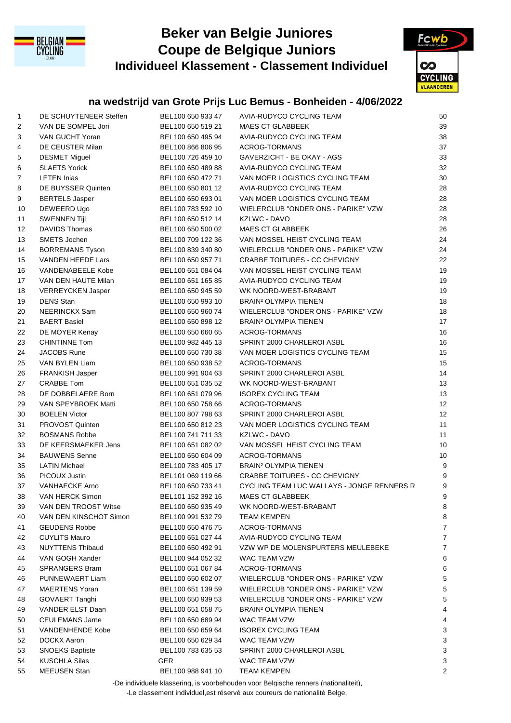

## **Beker van Belgie Juniores Individueel Klassement - Classement Individuel Coupe de Belgique Juniors**



## **na wedstrijd van Grote Prijs Luc Bemus - Bonheiden - 4/06/2022**

| $\mathbf{1}$ | DE SCHUYTENEER Steffen   | BEL100 650 933 47                      | AVIA-RUDYCO CYCLING TEAM                   | 50                        |
|--------------|--------------------------|----------------------------------------|--------------------------------------------|---------------------------|
| 2            | VAN DE SOMPEL Jori       | BEL100 650 519 21                      | <b>MAES CT GLABBEEK</b>                    | 39                        |
| 3            | VAN GUCHT Yoran          | BEL100 650 495 94                      | AVIA-RUDYCO CYCLING TEAM                   | 38                        |
| 4            | DE CEUSTER Milan         | BEL100 866 806 95                      | ACROG-TORMANS                              | 37                        |
| 5            | <b>DESMET Miguel</b>     | BEL100 726 459 10                      | GAVERZICHT - BE OKAY - AGS                 | 33                        |
| 6            | <b>SLAETS Yorick</b>     | BEL100 650 489 88                      | AVIA-RUDYCO CYCLING TEAM                   | 32                        |
| 7            | <b>LETEN Inias</b>       | BEL100 650 472 71                      | VAN MOER LOGISTICS CYCLING TEAM            | 30                        |
| 8            | DE BUYSSER Quinten       | BEL100 650 801 12                      | AVIA-RUDYCO CYCLING TEAM                   | 28                        |
| 9            | <b>BERTELS Jasper</b>    | BEL100 650 693 01                      | VAN MOER LOGISTICS CYCLING TEAM            | 28                        |
| 10           | DEWEERD Ugo              | BEL100 783 592 10                      | WIELERCLUB "ONDER ONS - PARIKE" VZW        | 28                        |
| 11           | <b>SWENNEN Tijl</b>      | BEL100 650 512 14                      | KZLWC - DAVO                               | 28                        |
| 12           | <b>DAVIDS Thomas</b>     | BEL100 650 500 02                      | <b>MAES CT GLABBEEK</b>                    | 26                        |
| 13           | SMETS Jochen             | BEL100 709 122 36                      | VAN MOSSEL HEIST CYCLING TEAM              | 24                        |
| 14           | <b>BORREMANS Tyson</b>   | BEL100 839 340 80                      | WIELERCLUB "ONDER ONS - PARIKE" VZW        | 24                        |
| 15           | VANDEN HEEDE Lars        | BEL100 650 957 71                      | CRABBE TOITURES - CC CHEVIGNY              | 22                        |
| 16           | <b>VANDENABEELE Kobe</b> | BEL100 651 084 04                      | VAN MOSSEL HEIST CYCLING TEAM              | 19                        |
| 17           | VAN DEN HAUTE Milan      | BEL100 651 165 85                      | AVIA-RUDYCO CYCLING TEAM                   | 19                        |
| 18           | VERREYCKEN Jasper        | BEL100 650 945 59                      | WK NOORD-WEST-BRABANT                      | 19                        |
| 19           | <b>DENS Stan</b>         | BEL100 650 993 10                      | <b>BRAIN<sup>2</sup> OLYMPIA TIENEN</b>    | 18                        |
| 20           | NEERINCKX Sam            | BEL100 650 960 74                      | WIELERCLUB "ONDER ONS - PARIKE" VZW        | 18                        |
| 21           | <b>BAERT Basiel</b>      | BEL100 650 898 12                      | <b>BRAIN<sup>2</sup> OLYMPIA TIENEN</b>    | 17                        |
| 22           | DE MOYER Kenay           | BEL100 650 660 65                      | ACROG-TORMANS                              | 16                        |
| 23           | <b>CHINTINNE Tom</b>     | BEL100 982 445 13                      | SPRINT 2000 CHARLEROI ASBL                 | 16                        |
| 24           | <b>JACOBS Rune</b>       | BEL100 650 730 38                      | VAN MOER LOGISTICS CYCLING TEAM            | 15                        |
| 25           | VAN BYLEN Liam           | BEL100 650 938 52                      | ACROG-TORMANS                              | 15                        |
| 26           | FRANKISH Jasper          | BEL100 991 904 63                      | SPRINT 2000 CHARLEROI ASBL                 | 14                        |
| 27           | <b>CRABBE Tom</b>        | BEL100 651 035 52                      | WK NOORD-WEST-BRABANT                      | 13                        |
| 28           | DE DOBBELAERE Born       | BEL100 651 079 96                      | <b>ISOREX CYCLING TEAM</b>                 | 13                        |
| 29           | VAN SPEYBROEK Matti      | BEL100 650 758 66                      | ACROG-TORMANS                              | 12                        |
| 30           | <b>BOELEN Victor</b>     | BEL100 807 798 63                      | SPRINT 2000 CHARLEROI ASBL                 | 12                        |
| 31           | PROVOST Quinten          | BEL100 650 812 23                      | VAN MOER LOGISTICS CYCLING TEAM            | 11                        |
| 32           | <b>BOSMANS Robbe</b>     | BEL100 741 711 33                      | KZLWC - DAVO                               | 11                        |
| 33           | DE KEERSMAEKER Jens      | BEL100 651 082 02                      | VAN MOSSEL HEIST CYCLING TEAM              | 10                        |
| 34           | <b>BAUWENS Senne</b>     | BEL100 650 604 09                      | ACROG-TORMANS                              | $10$                      |
| 35           | <b>LATIN Michael</b>     | BEL100 783 405 17                      | BRAIN <sup>2</sup> OLYMPIA TIENEN          | $\boldsymbol{9}$          |
| 36           | PICOUX Justin            | BEL101 069 119 66                      | <b>CRABBE TOITURES - CC CHEVIGNY</b>       | 9                         |
| 37           | <b>VANHAECKE Arno</b>    | BEL100 650 733 41                      | CYCLING TEAM LUC WALLAYS - JONGE RENNERS R | 9                         |
| 38           | VAN HERCK Simon          | BEL101 152 392 16                      | MAES CT GLABBEEK                           | 9                         |
|              | VAN DEN TROOST Witse     | BEL100 650 935 49                      | WK NOORD-WEST-BRABANT                      | 8                         |
| 39<br>40     | VAN DEN KINSCHOT Simon   | BEL100 991 532 79                      | <b>TEAM KEMPEN</b>                         | 8                         |
|              | <b>GEUDENS Robbe</b>     | BEL100 650 476 75                      | ACROG-TORMANS                              | $\overline{7}$            |
| 41           | <b>CUYLITS Mauro</b>     |                                        | AVIA-RUDYCO CYCLING TEAM                   | $\overline{7}$            |
| 42           | <b>NUYTTENS Thibaud</b>  | BEL100 651 027 44                      | VZW WP DE MOLENSPURTERS MEULEBEKE          | 7                         |
| 43           | VAN GOGH Xander          | BEL100 650 492 91<br>BEL100 944 052 32 |                                            | 6                         |
| 44           |                          |                                        | WAC TEAM VZW                               |                           |
| 45           | SPRANGERS Bram           | BEL100 651 067 84                      | ACROG-TORMANS                              | 6                         |
| 46           | PUNNEWAERT Liam          | BEL100 650 602 07                      | WIELERCLUB "ONDER ONS - PARIKE" VZW        | 5                         |
| 47           | <b>MAERTENS Yoran</b>    | BEL100 651 139 59                      | WIELERCLUB "ONDER ONS - PARIKE" VZW        | 5                         |
| 48           | GOVAERT Tanghi           | BEL100 650 939 53                      | WIELERCLUB "ONDER ONS - PARIKE" VZW        | 5                         |
| 49           | VANDER ELST Daan         | BEL100 651 058 75                      | <b>BRAIN<sup>2</sup> OLYMPIA TIENEN</b>    | 4                         |
| 50           | <b>CEULEMANS Jarne</b>   | BEL100 650 689 94                      | WAC TEAM VZW                               | 4                         |
| 51           | <b>VANDENHENDE Kobe</b>  | BEL100 650 659 64                      | <b>ISOREX CYCLING TEAM</b>                 | 3                         |
| 52           | DOCKX Aaron              | BEL100 650 629 34                      | WAC TEAM VZW                               | 3                         |
| 53           | <b>SNOEKS Baptiste</b>   | BEL100 783 635 53                      | SPRINT 2000 CHARLEROI ASBL                 | $\ensuremath{\mathsf{3}}$ |
| 54           | <b>KUSCHLA Silas</b>     | GER                                    | WAC TEAM VZW                               | 3                         |
| 55           | <b>MEEUSEN Stan</b>      | BEL100 988 941 10                      | <b>TEAM KEMPEN</b>                         | 2                         |

-De individuele klassering, is voorbehouden voor Belgische renners (nationaliteit),

-Le classement individuel,est réservé aux coureurs de nationalité Belge,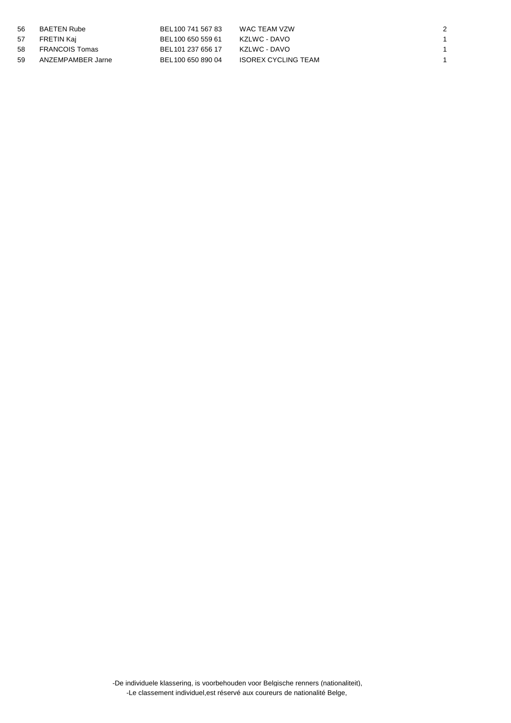| 56 | BAETEN Rube       | BEL 100 741 567 83 | WAC TEAM VZW               |  |
|----|-------------------|--------------------|----------------------------|--|
| 57 | FRETIN Kaj        | BEL100 650 559 61  | KZLWC - DAVO               |  |
|    | 58 FRANCOIS Tomas | BEL 101 237 656 17 | KZLWC - DAVO               |  |
| 59 | ANZEMPAMBER Jarne | BEL 100 650 890 04 | <b>ISOREX CYCLING TEAM</b> |  |

-De individuele klassering, is voorbehouden voor Belgische renners (nationaliteit), -Le classement individuel,est réservé aux coureurs de nationalité Belge,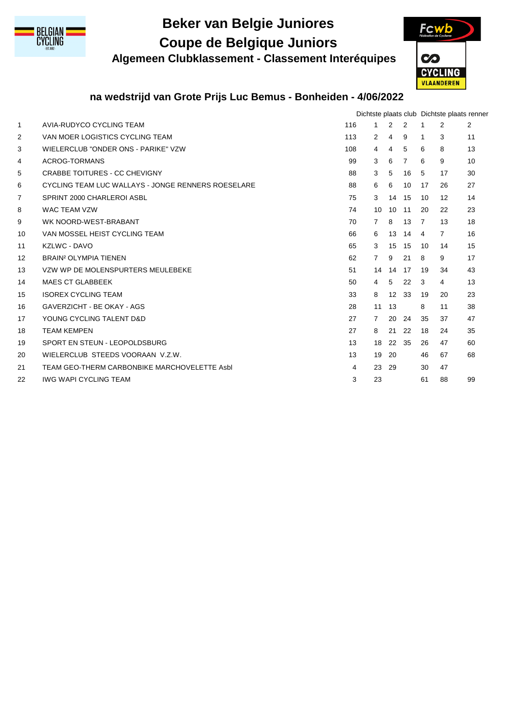

# **Beker van Belgie Juniores Coupe de Belgique Juniors**

**Algemeen Clubklassement - Classement Interéquipes**



## **na wedstrijd van Grote Prijs Luc Bemus - Bonheiden - 4/06/2022**

|                |                                                    |     |                |                 |                |              | Dichtste plaats club Dichtste plaats renner |    |
|----------------|----------------------------------------------------|-----|----------------|-----------------|----------------|--------------|---------------------------------------------|----|
| $\mathbf{1}$   | AVIA-RUDYCO CYCLING TEAM                           | 116 | 1              | $\overline{2}$  | 2              | 1            | $\overline{2}$                              | 2  |
| 2              | VAN MOER LOGISTICS CYCLING TEAM                    | 113 | 2              | 4               | 9              | $\mathbf{1}$ | 3                                           | 11 |
| 3              | WIELERCLUB "ONDER ONS - PARIKE" VZW                | 108 | $\overline{4}$ | 4               | 5              | 6            | 8                                           | 13 |
| 4              | ACROG-TORMANS                                      | 99  | 3              | 6               | $\overline{7}$ | 6            | 9                                           | 10 |
| 5              | <b>CRABBE TOITURES - CC CHEVIGNY</b>               | 88  | 3              | 5               | 16             | -5           | 17                                          | 30 |
| 6              | CYCLING TEAM LUC WALLAYS - JONGE RENNERS ROESELARE | 88  | 6              | 6               | 10             | 17           | 26                                          | 27 |
| $\overline{7}$ | SPRINT 2000 CHARLEROI ASBL                         | 75  | 3              | 14              | 15             | 10           | $12 \overline{ }$                           | 14 |
| 8              | <b>WAC TEAM VZW</b>                                | 74  | 10             | 10 <sup>1</sup> | 11             | 20           | 22                                          | 23 |
| 9              | WK NOORD-WEST-BRABANT                              | 70  | $\overline{7}$ | 8               | 13             | 7            | 13                                          | 18 |
| 10             | VAN MOSSEL HEIST CYCLING TEAM                      | 66  | 6              | 13              | 14             | 4            | $\overline{7}$                              | 16 |
| 11             | KZLWC - DAVO                                       | 65  | 3              | 15              | 15             | 10           | 14                                          | 15 |
| 12             | BRAIN <sup>2</sup> OLYMPIA TIENEN                  | 62  | $\overline{7}$ | 9               | 21             | 8            | 9                                           | 17 |
| 13             | VZW WP DE MOLENSPURTERS MEULEBEKE                  | 51  | 14             | 14              | 17             | 19           | 34                                          | 43 |
| 14             | <b>MAES CT GLABBEEK</b>                            | 50  | $\overline{4}$ | 5               | 22             | 3            | 4                                           | 13 |
| 15             | <b>ISOREX CYCLING TEAM</b>                         | 33  | 8              | 12              | 33             | 19           | 20                                          | 23 |
| 16             | GAVERZICHT - BE OKAY - AGS                         | 28  | 11             | 13              |                | 8            | 11                                          | 38 |
| 17             | YOUNG CYCLING TALENT D&D                           | 27  | $\overline{7}$ | 20              | 24             | 35           | 37                                          | 47 |
| 18             | <b>TEAM KEMPEN</b>                                 | 27  | 8              | 21              | 22             | 18           | 24                                          | 35 |
| 19             | SPORT EN STEUN - LEOPOLDSBURG                      | 13  | 18             | 22 35           |                | 26           | 47                                          | 60 |
| 20             | WIELERCLUB STEEDS VOORAAN V.Z.W.                   | 13  | 19             | 20              |                | 46           | 67                                          | 68 |
| 21             | TEAM GEO-THERM CARBONBIKE MARCHOVELETTE Asbl       | 4   | 23             | -29             |                | 30           | 47                                          |    |
| 22             | <b>IWG WAPI CYCLING TEAM</b>                       | 3   | 23             |                 |                | 61           | 88                                          | 99 |
|                |                                                    |     |                |                 |                |              |                                             |    |